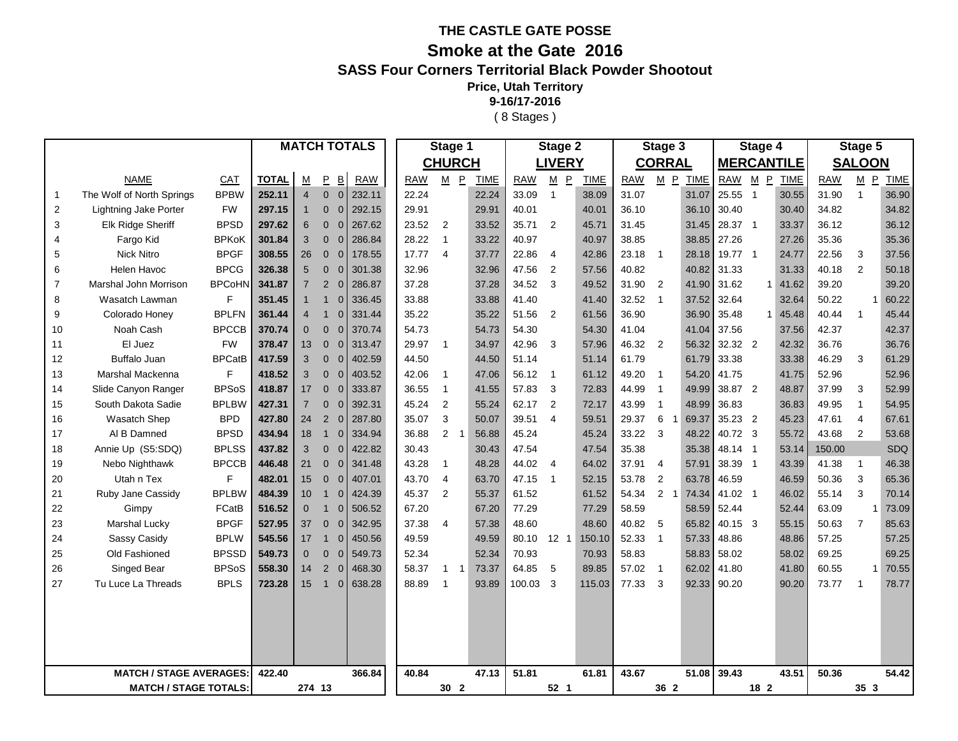## **THE CASTLE GATE POSSE**

## **Smoke at the Gate 2016**

## **SASS Four Corners Territorial Black Powder Shootout**

**Price, Utah Territory**

**9-16/17-2016**

( 8 Stages )

| <b>CHURCH</b><br><b>LIVERY</b><br><b>CORRAL</b><br><b>MERCANTILE</b><br><b>SALOON</b><br>$M$ $P$<br><b>NAME</b><br><b>TOTAL</b><br>P<br>$\overline{\mathsf{B}}$<br><b>RAW</b><br>$M$ $P$<br><b>RAW</b><br>M P TIME<br>RAW M P<br>$M$ $P$<br>CAT<br><b>RAW</b><br><b>TIME</b><br><b>RAW</b><br><b>TIME</b><br><b>TIME</b><br><b>RAW</b><br><b>TIME</b><br>М<br>The Wolf of North Springs<br>33.09<br>$\mathbf{1}$<br><b>BPBW</b><br>252.11<br>$\Omega$<br>22.24<br>22.24<br>38.09<br>31.07<br>31.07<br>25.55<br>30.55<br>31.90<br>36.90<br>$\overline{4}$<br>$\overline{0}$<br>232.11<br>$\overline{1}$<br>$\overline{1}$<br>$\mathbf{1}$<br><b>Lightning Jake Porter</b><br>297.15<br>292.15<br>29.91<br>40.01<br>30.40<br>34.82<br>34.82<br>$\overline{2}$<br><b>FW</b><br>$\Omega$<br>$\Omega$<br>29.91<br>40.01<br>36.10<br>36.10<br>30.40<br>-1<br>36.12<br>3<br><b>BPSD</b><br>23.52<br>35.71<br>28.37 1<br>36.12<br><b>Elk Ridge Sheriff</b><br>297.62<br>6<br>267.62<br>$\overline{2}$<br>33.52<br>$\overline{2}$<br>45.71<br>31.45<br>31.45<br>33.37<br>$\Omega$<br>$\overline{0}$<br>28.22<br>40.97<br>38.85<br>27.26<br>35.36<br>35.36<br>Fargo Kid<br>BPKoK<br>301.84<br>3<br>$\Omega$<br>286.84<br>33.22<br>40.97<br>38.85<br>27.26<br>4<br>$\Omega$<br>$\overline{1}$<br><b>Nick Nitro</b><br><b>BPGF</b><br>308.55<br>17.77<br>19.77 1<br>22.56<br>37.56<br>5<br>26<br>178.55<br>$\overline{4}$<br>37.77<br>22.86<br>42.86<br>23.18<br>28.18<br>24.77<br>3<br>$\mathbf{0}$<br>$\overline{0}$<br>$\overline{4}$<br>-1<br><b>BPCG</b><br>Helen Havoc<br>32.96<br>47.56<br>$\overline{2}$<br>40.82<br>31.33<br>40.18<br>2<br>50.18<br>6<br>326.38<br>5<br>$\Omega$<br>301.38<br>32.96<br>57.56<br>40.82<br>31.33<br>$\overline{0}$<br>$\overline{7}$<br>Marshal John Morrison<br><b>BPCoHN</b><br>37.28<br>34.52<br>$\mathbf{3}$<br>39.20<br>341.87<br>$\overline{2}$<br>286.87<br>37.28<br>49.52<br>31.90<br>$\overline{2}$<br>41.90<br>31.62<br>$1 \mid 41.62$<br>39.20<br>7<br>$\overline{0}$<br>F<br>33.88<br>37.52<br>50.22<br>60.22<br>8<br>Wasatch Lawman<br>351.45<br>336.45<br>33.88<br>41.40<br>41.40<br>32.52<br>32.64<br>32.64<br>$\Omega$<br>1<br><b>BPLFN</b><br>35.22<br>40.44<br>45.44<br>9<br>Colorado Honey<br>361.44<br>331.44<br>35.22<br>51.56<br>$\overline{2}$<br>61.56<br>36.90<br>36.90<br>35.48<br>$1 \mid 45.48$<br>$\mathbf{1}$<br>$\mathbf 0$<br>$\boldsymbol{4}$<br>Noah Cash<br><b>BPCCB</b><br>370.74<br>54.73<br>37.56<br>42.37<br>42.37<br>$\Omega$<br>$\overline{0}$<br>370.74<br>54.73<br>54.30<br>54.30<br>41.04<br>41.04<br>37.56<br>10<br>$\Omega$<br>El Juez<br><b>FW</b><br>36.76<br>378.47<br>313.47<br>29.97<br>34.97<br>42.96<br>-3<br>57.96<br>46.32<br>$\overline{2}$<br>56.32<br>32.32 2<br>42.32<br>36.76<br>11<br>13<br>$\mathbf{0}$<br>$\mathbf{0}$<br>$\overline{1}$<br><b>BPCatB</b><br>61.79<br>33.38<br>46.29<br>61.29<br><b>Buffalo Juan</b><br>417.59<br>3<br>402.59<br>44.50<br>44.50<br>51.14<br>61.79<br>33.38<br>3<br>12<br>$\Omega$<br>$\overline{0}$<br>51.14<br>F<br>418.52<br>52.96<br>Marshal Mackenna<br>3<br>403.52<br>42.06<br>47.06<br>56.12<br>49.20<br>54.20<br>41.75<br>41.75<br>52.96<br>13<br>$\Omega$<br>$\overline{0}$<br>61.12<br>$\overline{1}$<br>$\overline{\phantom{1}}$<br>-1<br><b>BPSoS</b><br>38.87 2<br>52.99<br>Slide Canyon Ranger<br>418.87<br>333.87<br>36.55<br>57.83<br>$\mathbf{3}$<br>49.99<br>48.87<br>37.99<br>3<br>14<br>17<br>$\overline{0}$<br>$\overline{0}$<br>$\overline{1}$<br>41.55<br>72.83<br>44.99<br>$\overline{1}$<br>62.17<br>54.95<br>South Dakota Sadie<br><b>BPLBW</b><br>427.31<br>392.31<br>45.24<br>$\overline{2}$<br>$\overline{2}$<br>43.99<br>48.99<br>36.83<br>36.83<br>49.95<br>$\mathbf{1}$<br>15<br>$\overline{7}$<br>$\Omega$<br>$\overline{0}$<br>55.24<br>72.17<br><b>BPD</b><br>35.23 2<br>67.61<br>Wasatch Shep<br>427.80<br>2<br>287.80<br>35.07<br>3<br>39.51<br>29.37<br>6<br>69.37<br>45.23<br>47.61<br>$\overline{4}$<br>24<br>$\overline{0}$<br>50.07<br>$\overline{4}$<br>59.51<br>16<br>-1<br><b>BPSD</b><br>$\overline{2}$<br>40.72 3<br>43.68<br>$\overline{2}$<br>53.68<br>Al B Damned<br>434.94<br>334.94<br>36.88<br>45.24<br>45.24<br>33.22<br>3<br>48.22<br>55.72<br>17<br>18<br>$\mathbf{1}$<br>$\overline{0}$<br>56.88<br>Annie Up (S5:SDQ)<br><b>BPLSS</b><br>SDQ<br>437.82<br>422.82<br>47.54<br>47.54<br>35.38<br>35.38<br>48.14 1<br>150.00<br>18<br>3<br>$\Omega$<br>$\overline{0}$<br>30.43<br>30.43<br>53.14<br><b>BPCCB</b><br>46.38<br>446.48<br>341.48<br>43.28<br>48.28<br>44.02<br>37.91<br>57.91<br>38.39<br>41.38<br>19<br>Nebo Nighthawk<br>21<br>$\overline{0}$<br>$\overline{0}$<br>$\overline{4}$<br>64.02<br>4<br>$\overline{1}$<br>43.39<br>$\mathbf{1}$<br>$\mathbf{1}$<br>F<br>Utah n Tex<br>482.01<br>15<br>407.01<br>43.70<br>63.70<br>47.15<br>53.78<br>$\overline{2}$<br>63.78<br>46.59<br>46.59<br>50.36<br>3<br>65.36<br>20<br>$\overline{0}$<br>$\overline{0}$<br>$\overline{4}$<br>$\overline{1}$<br>52.15<br>3<br>Ruby Jane Cassidy<br><b>BPLBW</b><br>484.39<br>45.37<br>$\overline{2}$<br>61.52<br>61.52<br>2 <sub>1</sub><br>74.34<br>41.02 1<br>55.14<br>70.14<br>21<br>10 <sup>°</sup><br>424.39<br>55.37<br>54.34<br>46.02<br>$\mathbf{1}$<br>$\mathbf 0$<br>FCatB<br>516.52<br>67.20<br>77.29<br>77.29<br>58.59<br>52.44<br>63.09<br>73.09<br>22<br>Gimpy<br>$\mathbf{0}$<br>$\overline{0}$<br>506.52<br>67.20<br>58.59<br>52.44<br>$\mathbf{1}$<br><b>BPGF</b><br>85.63<br>Marshal Lucky<br>527.95<br>37.38<br>48.60<br>65.82<br>40.15 3<br>50.63<br>$\overline{7}$<br>23<br>37<br>$\Omega$<br>$\Omega$<br>342.95<br>$\overline{4}$<br>57.38<br>48.60<br>40.82<br>5<br>55.15<br>Sassy Casidy<br><b>BPLW</b><br>545.56<br>49.59<br>80.10 12 1<br>150.10<br>57.33<br>48.86<br>57.25<br>57.25<br>24<br>17<br>450.56<br>49.59<br>52.33<br>$\overline{1}$<br>48.86<br>$\mathbf{1}$<br>$\Omega$<br>69.25<br>Old Fashioned<br><b>BPSSD</b><br>549.73<br>52.34<br>70.93<br>58.02<br>69.25<br>25<br>$\Omega$<br>$\overline{0}$<br>549.73<br>52.34<br>70.93<br>58.83<br>58.83<br>58.02<br>$\Omega$<br>Singed Bear<br><b>BPSoS</b><br>558.30<br>58.37<br>64.85<br>60.55<br>70.55<br>26<br>2<br>468.30<br>73.37<br>-5<br>89.85<br>57.02<br>62.02<br>41.80<br>41.80<br>14<br>$\Omega$<br>$\mathbf{1}$<br>-1<br>$\overline{1}$<br>1<br>Tu Luce La Threads<br><b>BPLS</b><br>73.77<br>78.77<br>27<br>723.28<br>15<br>638.28<br>88.89<br>93.89<br>100.03 3<br>115.03<br>77.33<br>3<br>92.33<br>90.20<br>90.20<br>$\mathbf{1}$<br>$\mathbf{1}$<br>$\mathbf 0$<br>-1<br><b>MATCH / STAGE AVERAGES:</b><br>47.13<br>51.81<br>43.67<br>51.08<br>39.43<br>50.36<br>366.84<br>40.84<br>61.81<br>43.51<br>54.42<br>422.40<br><b>MATCH / STAGE TOTALS:</b><br>274 13<br>30 <sub>2</sub><br>52 <sub>1</sub><br>36 2<br>18 2<br>35 <sub>3</sub> |  |  |  |  |  | <b>MATCH TOTALS</b> | Stage 1 |  | Stage 2 |  |  | Stage 3 |  | Stage 4 |  | Stage 5 |  |  |  |  |  |
|--------------------------------------------------------------------------------------------------------------------------------------------------------------------------------------------------------------------------------------------------------------------------------------------------------------------------------------------------------------------------------------------------------------------------------------------------------------------------------------------------------------------------------------------------------------------------------------------------------------------------------------------------------------------------------------------------------------------------------------------------------------------------------------------------------------------------------------------------------------------------------------------------------------------------------------------------------------------------------------------------------------------------------------------------------------------------------------------------------------------------------------------------------------------------------------------------------------------------------------------------------------------------------------------------------------------------------------------------------------------------------------------------------------------------------------------------------------------------------------------------------------------------------------------------------------------------------------------------------------------------------------------------------------------------------------------------------------------------------------------------------------------------------------------------------------------------------------------------------------------------------------------------------------------------------------------------------------------------------------------------------------------------------------------------------------------------------------------------------------------------------------------------------------------------------------------------------------------------------------------------------------------------------------------------------------------------------------------------------------------------------------------------------------------------------------------------------------------------------------------------------------------------------------------------------------------------------------------------------------------------------------------------------------------------------------------------------------------------------------------------------------------------------------------------------------------------------------------------------------------------------------------------------------------------------------------------------------------------------------------------------------------------------------------------------------------------------------------------------------------------------------------------------------------------------------------------------------------------------------------------------------------------------------------------------------------------------------------------------------------------------------------------------------------------------------------------------------------------------------------------------------------------------------------------------------------------------------------------------------------------------------------------------------------------------------------------------------------------------------------------------------------------------------------------------------------------------------------------------------------------------------------------------------------------------------------------------------------------------------------------------------------------------------------------------------------------------------------------------------------------------------------------------------------------------------------------------------------------------------------------------------------------------------------------------------------------------------------------------------------------------------------------------------------------------------------------------------------------------------------------------------------------------------------------------------------------------------------------------------------------------------------------------------------------------------------------------------------------------------------------------------------------------------------------------------------------------------------------------------------------------------------------------------------------------------------------------------------------------------------------------------------------------------------------------------------------------------------------------------------------------------------------------------------------------------------------------------------------------------------------------------------------------------------------------------------------------------------------------------------------------------------------------------------------------------------------------------------------------------------------------------------------------------------------------------------------------------------------------------------------------------------------------------------------------------------------------------------------------------------------------------------------------------------------------------------------------------------------------------------------------------------------------------------------------------------------------------------------------------------------------------------------------------------------------------------------------------------------------------------------------------------------------------------------------------------------------------------------------------------------------------------------------------------------------------------------------------------------------------------------------------------------------------------------------------------------------------------------------------------------------------------------------------------------------------------------------------------------------------------------------------------------------------------------------------------------------------------------------------------------------------------------------------------------------------------------|--|--|--|--|--|---------------------|---------|--|---------|--|--|---------|--|---------|--|---------|--|--|--|--|--|
|                                                                                                                                                                                                                                                                                                                                                                                                                                                                                                                                                                                                                                                                                                                                                                                                                                                                                                                                                                                                                                                                                                                                                                                                                                                                                                                                                                                                                                                                                                                                                                                                                                                                                                                                                                                                                                                                                                                                                                                                                                                                                                                                                                                                                                                                                                                                                                                                                                                                                                                                                                                                                                                                                                                                                                                                                                                                                                                                                                                                                                                                                                                                                                                                                                                                                                                                                                                                                                                                                                                                                                                                                                                                                                                                                                                                                                                                                                                                                                                                                                                                                                                                                                                                                                                                                                                                                                                                                                                                                                                                                                                                                                                                                                                                                                                                                                                                                                                                                                                                                                                                                                                                                                                                                                                                                                                                                                                                                                                                                                                                                                                                                                                                                                                                                                                                                                                                                                                                                                                                                                                                                                                                                                                                                                                                                                                                                                                                                                                                                                                                                                                                                                                                                                                                                                                                                          |  |  |  |  |  |                     |         |  |         |  |  |         |  |         |  |         |  |  |  |  |  |
|                                                                                                                                                                                                                                                                                                                                                                                                                                                                                                                                                                                                                                                                                                                                                                                                                                                                                                                                                                                                                                                                                                                                                                                                                                                                                                                                                                                                                                                                                                                                                                                                                                                                                                                                                                                                                                                                                                                                                                                                                                                                                                                                                                                                                                                                                                                                                                                                                                                                                                                                                                                                                                                                                                                                                                                                                                                                                                                                                                                                                                                                                                                                                                                                                                                                                                                                                                                                                                                                                                                                                                                                                                                                                                                                                                                                                                                                                                                                                                                                                                                                                                                                                                                                                                                                                                                                                                                                                                                                                                                                                                                                                                                                                                                                                                                                                                                                                                                                                                                                                                                                                                                                                                                                                                                                                                                                                                                                                                                                                                                                                                                                                                                                                                                                                                                                                                                                                                                                                                                                                                                                                                                                                                                                                                                                                                                                                                                                                                                                                                                                                                                                                                                                                                                                                                                                                          |  |  |  |  |  |                     |         |  |         |  |  |         |  |         |  |         |  |  |  |  |  |
|                                                                                                                                                                                                                                                                                                                                                                                                                                                                                                                                                                                                                                                                                                                                                                                                                                                                                                                                                                                                                                                                                                                                                                                                                                                                                                                                                                                                                                                                                                                                                                                                                                                                                                                                                                                                                                                                                                                                                                                                                                                                                                                                                                                                                                                                                                                                                                                                                                                                                                                                                                                                                                                                                                                                                                                                                                                                                                                                                                                                                                                                                                                                                                                                                                                                                                                                                                                                                                                                                                                                                                                                                                                                                                                                                                                                                                                                                                                                                                                                                                                                                                                                                                                                                                                                                                                                                                                                                                                                                                                                                                                                                                                                                                                                                                                                                                                                                                                                                                                                                                                                                                                                                                                                                                                                                                                                                                                                                                                                                                                                                                                                                                                                                                                                                                                                                                                                                                                                                                                                                                                                                                                                                                                                                                                                                                                                                                                                                                                                                                                                                                                                                                                                                                                                                                                                                          |  |  |  |  |  |                     |         |  |         |  |  |         |  |         |  |         |  |  |  |  |  |
|                                                                                                                                                                                                                                                                                                                                                                                                                                                                                                                                                                                                                                                                                                                                                                                                                                                                                                                                                                                                                                                                                                                                                                                                                                                                                                                                                                                                                                                                                                                                                                                                                                                                                                                                                                                                                                                                                                                                                                                                                                                                                                                                                                                                                                                                                                                                                                                                                                                                                                                                                                                                                                                                                                                                                                                                                                                                                                                                                                                                                                                                                                                                                                                                                                                                                                                                                                                                                                                                                                                                                                                                                                                                                                                                                                                                                                                                                                                                                                                                                                                                                                                                                                                                                                                                                                                                                                                                                                                                                                                                                                                                                                                                                                                                                                                                                                                                                                                                                                                                                                                                                                                                                                                                                                                                                                                                                                                                                                                                                                                                                                                                                                                                                                                                                                                                                                                                                                                                                                                                                                                                                                                                                                                                                                                                                                                                                                                                                                                                                                                                                                                                                                                                                                                                                                                                                          |  |  |  |  |  |                     |         |  |         |  |  |         |  |         |  |         |  |  |  |  |  |
|                                                                                                                                                                                                                                                                                                                                                                                                                                                                                                                                                                                                                                                                                                                                                                                                                                                                                                                                                                                                                                                                                                                                                                                                                                                                                                                                                                                                                                                                                                                                                                                                                                                                                                                                                                                                                                                                                                                                                                                                                                                                                                                                                                                                                                                                                                                                                                                                                                                                                                                                                                                                                                                                                                                                                                                                                                                                                                                                                                                                                                                                                                                                                                                                                                                                                                                                                                                                                                                                                                                                                                                                                                                                                                                                                                                                                                                                                                                                                                                                                                                                                                                                                                                                                                                                                                                                                                                                                                                                                                                                                                                                                                                                                                                                                                                                                                                                                                                                                                                                                                                                                                                                                                                                                                                                                                                                                                                                                                                                                                                                                                                                                                                                                                                                                                                                                                                                                                                                                                                                                                                                                                                                                                                                                                                                                                                                                                                                                                                                                                                                                                                                                                                                                                                                                                                                                          |  |  |  |  |  |                     |         |  |         |  |  |         |  |         |  |         |  |  |  |  |  |
|                                                                                                                                                                                                                                                                                                                                                                                                                                                                                                                                                                                                                                                                                                                                                                                                                                                                                                                                                                                                                                                                                                                                                                                                                                                                                                                                                                                                                                                                                                                                                                                                                                                                                                                                                                                                                                                                                                                                                                                                                                                                                                                                                                                                                                                                                                                                                                                                                                                                                                                                                                                                                                                                                                                                                                                                                                                                                                                                                                                                                                                                                                                                                                                                                                                                                                                                                                                                                                                                                                                                                                                                                                                                                                                                                                                                                                                                                                                                                                                                                                                                                                                                                                                                                                                                                                                                                                                                                                                                                                                                                                                                                                                                                                                                                                                                                                                                                                                                                                                                                                                                                                                                                                                                                                                                                                                                                                                                                                                                                                                                                                                                                                                                                                                                                                                                                                                                                                                                                                                                                                                                                                                                                                                                                                                                                                                                                                                                                                                                                                                                                                                                                                                                                                                                                                                                                          |  |  |  |  |  |                     |         |  |         |  |  |         |  |         |  |         |  |  |  |  |  |
|                                                                                                                                                                                                                                                                                                                                                                                                                                                                                                                                                                                                                                                                                                                                                                                                                                                                                                                                                                                                                                                                                                                                                                                                                                                                                                                                                                                                                                                                                                                                                                                                                                                                                                                                                                                                                                                                                                                                                                                                                                                                                                                                                                                                                                                                                                                                                                                                                                                                                                                                                                                                                                                                                                                                                                                                                                                                                                                                                                                                                                                                                                                                                                                                                                                                                                                                                                                                                                                                                                                                                                                                                                                                                                                                                                                                                                                                                                                                                                                                                                                                                                                                                                                                                                                                                                                                                                                                                                                                                                                                                                                                                                                                                                                                                                                                                                                                                                                                                                                                                                                                                                                                                                                                                                                                                                                                                                                                                                                                                                                                                                                                                                                                                                                                                                                                                                                                                                                                                                                                                                                                                                                                                                                                                                                                                                                                                                                                                                                                                                                                                                                                                                                                                                                                                                                                                          |  |  |  |  |  |                     |         |  |         |  |  |         |  |         |  |         |  |  |  |  |  |
|                                                                                                                                                                                                                                                                                                                                                                                                                                                                                                                                                                                                                                                                                                                                                                                                                                                                                                                                                                                                                                                                                                                                                                                                                                                                                                                                                                                                                                                                                                                                                                                                                                                                                                                                                                                                                                                                                                                                                                                                                                                                                                                                                                                                                                                                                                                                                                                                                                                                                                                                                                                                                                                                                                                                                                                                                                                                                                                                                                                                                                                                                                                                                                                                                                                                                                                                                                                                                                                                                                                                                                                                                                                                                                                                                                                                                                                                                                                                                                                                                                                                                                                                                                                                                                                                                                                                                                                                                                                                                                                                                                                                                                                                                                                                                                                                                                                                                                                                                                                                                                                                                                                                                                                                                                                                                                                                                                                                                                                                                                                                                                                                                                                                                                                                                                                                                                                                                                                                                                                                                                                                                                                                                                                                                                                                                                                                                                                                                                                                                                                                                                                                                                                                                                                                                                                                                          |  |  |  |  |  |                     |         |  |         |  |  |         |  |         |  |         |  |  |  |  |  |
|                                                                                                                                                                                                                                                                                                                                                                                                                                                                                                                                                                                                                                                                                                                                                                                                                                                                                                                                                                                                                                                                                                                                                                                                                                                                                                                                                                                                                                                                                                                                                                                                                                                                                                                                                                                                                                                                                                                                                                                                                                                                                                                                                                                                                                                                                                                                                                                                                                                                                                                                                                                                                                                                                                                                                                                                                                                                                                                                                                                                                                                                                                                                                                                                                                                                                                                                                                                                                                                                                                                                                                                                                                                                                                                                                                                                                                                                                                                                                                                                                                                                                                                                                                                                                                                                                                                                                                                                                                                                                                                                                                                                                                                                                                                                                                                                                                                                                                                                                                                                                                                                                                                                                                                                                                                                                                                                                                                                                                                                                                                                                                                                                                                                                                                                                                                                                                                                                                                                                                                                                                                                                                                                                                                                                                                                                                                                                                                                                                                                                                                                                                                                                                                                                                                                                                                                                          |  |  |  |  |  |                     |         |  |         |  |  |         |  |         |  |         |  |  |  |  |  |
|                                                                                                                                                                                                                                                                                                                                                                                                                                                                                                                                                                                                                                                                                                                                                                                                                                                                                                                                                                                                                                                                                                                                                                                                                                                                                                                                                                                                                                                                                                                                                                                                                                                                                                                                                                                                                                                                                                                                                                                                                                                                                                                                                                                                                                                                                                                                                                                                                                                                                                                                                                                                                                                                                                                                                                                                                                                                                                                                                                                                                                                                                                                                                                                                                                                                                                                                                                                                                                                                                                                                                                                                                                                                                                                                                                                                                                                                                                                                                                                                                                                                                                                                                                                                                                                                                                                                                                                                                                                                                                                                                                                                                                                                                                                                                                                                                                                                                                                                                                                                                                                                                                                                                                                                                                                                                                                                                                                                                                                                                                                                                                                                                                                                                                                                                                                                                                                                                                                                                                                                                                                                                                                                                                                                                                                                                                                                                                                                                                                                                                                                                                                                                                                                                                                                                                                                                          |  |  |  |  |  |                     |         |  |         |  |  |         |  |         |  |         |  |  |  |  |  |
|                                                                                                                                                                                                                                                                                                                                                                                                                                                                                                                                                                                                                                                                                                                                                                                                                                                                                                                                                                                                                                                                                                                                                                                                                                                                                                                                                                                                                                                                                                                                                                                                                                                                                                                                                                                                                                                                                                                                                                                                                                                                                                                                                                                                                                                                                                                                                                                                                                                                                                                                                                                                                                                                                                                                                                                                                                                                                                                                                                                                                                                                                                                                                                                                                                                                                                                                                                                                                                                                                                                                                                                                                                                                                                                                                                                                                                                                                                                                                                                                                                                                                                                                                                                                                                                                                                                                                                                                                                                                                                                                                                                                                                                                                                                                                                                                                                                                                                                                                                                                                                                                                                                                                                                                                                                                                                                                                                                                                                                                                                                                                                                                                                                                                                                                                                                                                                                                                                                                                                                                                                                                                                                                                                                                                                                                                                                                                                                                                                                                                                                                                                                                                                                                                                                                                                                                                          |  |  |  |  |  |                     |         |  |         |  |  |         |  |         |  |         |  |  |  |  |  |
|                                                                                                                                                                                                                                                                                                                                                                                                                                                                                                                                                                                                                                                                                                                                                                                                                                                                                                                                                                                                                                                                                                                                                                                                                                                                                                                                                                                                                                                                                                                                                                                                                                                                                                                                                                                                                                                                                                                                                                                                                                                                                                                                                                                                                                                                                                                                                                                                                                                                                                                                                                                                                                                                                                                                                                                                                                                                                                                                                                                                                                                                                                                                                                                                                                                                                                                                                                                                                                                                                                                                                                                                                                                                                                                                                                                                                                                                                                                                                                                                                                                                                                                                                                                                                                                                                                                                                                                                                                                                                                                                                                                                                                                                                                                                                                                                                                                                                                                                                                                                                                                                                                                                                                                                                                                                                                                                                                                                                                                                                                                                                                                                                                                                                                                                                                                                                                                                                                                                                                                                                                                                                                                                                                                                                                                                                                                                                                                                                                                                                                                                                                                                                                                                                                                                                                                                                          |  |  |  |  |  |                     |         |  |         |  |  |         |  |         |  |         |  |  |  |  |  |
|                                                                                                                                                                                                                                                                                                                                                                                                                                                                                                                                                                                                                                                                                                                                                                                                                                                                                                                                                                                                                                                                                                                                                                                                                                                                                                                                                                                                                                                                                                                                                                                                                                                                                                                                                                                                                                                                                                                                                                                                                                                                                                                                                                                                                                                                                                                                                                                                                                                                                                                                                                                                                                                                                                                                                                                                                                                                                                                                                                                                                                                                                                                                                                                                                                                                                                                                                                                                                                                                                                                                                                                                                                                                                                                                                                                                                                                                                                                                                                                                                                                                                                                                                                                                                                                                                                                                                                                                                                                                                                                                                                                                                                                                                                                                                                                                                                                                                                                                                                                                                                                                                                                                                                                                                                                                                                                                                                                                                                                                                                                                                                                                                                                                                                                                                                                                                                                                                                                                                                                                                                                                                                                                                                                                                                                                                                                                                                                                                                                                                                                                                                                                                                                                                                                                                                                                                          |  |  |  |  |  |                     |         |  |         |  |  |         |  |         |  |         |  |  |  |  |  |
|                                                                                                                                                                                                                                                                                                                                                                                                                                                                                                                                                                                                                                                                                                                                                                                                                                                                                                                                                                                                                                                                                                                                                                                                                                                                                                                                                                                                                                                                                                                                                                                                                                                                                                                                                                                                                                                                                                                                                                                                                                                                                                                                                                                                                                                                                                                                                                                                                                                                                                                                                                                                                                                                                                                                                                                                                                                                                                                                                                                                                                                                                                                                                                                                                                                                                                                                                                                                                                                                                                                                                                                                                                                                                                                                                                                                                                                                                                                                                                                                                                                                                                                                                                                                                                                                                                                                                                                                                                                                                                                                                                                                                                                                                                                                                                                                                                                                                                                                                                                                                                                                                                                                                                                                                                                                                                                                                                                                                                                                                                                                                                                                                                                                                                                                                                                                                                                                                                                                                                                                                                                                                                                                                                                                                                                                                                                                                                                                                                                                                                                                                                                                                                                                                                                                                                                                                          |  |  |  |  |  |                     |         |  |         |  |  |         |  |         |  |         |  |  |  |  |  |
|                                                                                                                                                                                                                                                                                                                                                                                                                                                                                                                                                                                                                                                                                                                                                                                                                                                                                                                                                                                                                                                                                                                                                                                                                                                                                                                                                                                                                                                                                                                                                                                                                                                                                                                                                                                                                                                                                                                                                                                                                                                                                                                                                                                                                                                                                                                                                                                                                                                                                                                                                                                                                                                                                                                                                                                                                                                                                                                                                                                                                                                                                                                                                                                                                                                                                                                                                                                                                                                                                                                                                                                                                                                                                                                                                                                                                                                                                                                                                                                                                                                                                                                                                                                                                                                                                                                                                                                                                                                                                                                                                                                                                                                                                                                                                                                                                                                                                                                                                                                                                                                                                                                                                                                                                                                                                                                                                                                                                                                                                                                                                                                                                                                                                                                                                                                                                                                                                                                                                                                                                                                                                                                                                                                                                                                                                                                                                                                                                                                                                                                                                                                                                                                                                                                                                                                                                          |  |  |  |  |  |                     |         |  |         |  |  |         |  |         |  |         |  |  |  |  |  |
|                                                                                                                                                                                                                                                                                                                                                                                                                                                                                                                                                                                                                                                                                                                                                                                                                                                                                                                                                                                                                                                                                                                                                                                                                                                                                                                                                                                                                                                                                                                                                                                                                                                                                                                                                                                                                                                                                                                                                                                                                                                                                                                                                                                                                                                                                                                                                                                                                                                                                                                                                                                                                                                                                                                                                                                                                                                                                                                                                                                                                                                                                                                                                                                                                                                                                                                                                                                                                                                                                                                                                                                                                                                                                                                                                                                                                                                                                                                                                                                                                                                                                                                                                                                                                                                                                                                                                                                                                                                                                                                                                                                                                                                                                                                                                                                                                                                                                                                                                                                                                                                                                                                                                                                                                                                                                                                                                                                                                                                                                                                                                                                                                                                                                                                                                                                                                                                                                                                                                                                                                                                                                                                                                                                                                                                                                                                                                                                                                                                                                                                                                                                                                                                                                                                                                                                                                          |  |  |  |  |  |                     |         |  |         |  |  |         |  |         |  |         |  |  |  |  |  |
|                                                                                                                                                                                                                                                                                                                                                                                                                                                                                                                                                                                                                                                                                                                                                                                                                                                                                                                                                                                                                                                                                                                                                                                                                                                                                                                                                                                                                                                                                                                                                                                                                                                                                                                                                                                                                                                                                                                                                                                                                                                                                                                                                                                                                                                                                                                                                                                                                                                                                                                                                                                                                                                                                                                                                                                                                                                                                                                                                                                                                                                                                                                                                                                                                                                                                                                                                                                                                                                                                                                                                                                                                                                                                                                                                                                                                                                                                                                                                                                                                                                                                                                                                                                                                                                                                                                                                                                                                                                                                                                                                                                                                                                                                                                                                                                                                                                                                                                                                                                                                                                                                                                                                                                                                                                                                                                                                                                                                                                                                                                                                                                                                                                                                                                                                                                                                                                                                                                                                                                                                                                                                                                                                                                                                                                                                                                                                                                                                                                                                                                                                                                                                                                                                                                                                                                                                          |  |  |  |  |  |                     |         |  |         |  |  |         |  |         |  |         |  |  |  |  |  |
|                                                                                                                                                                                                                                                                                                                                                                                                                                                                                                                                                                                                                                                                                                                                                                                                                                                                                                                                                                                                                                                                                                                                                                                                                                                                                                                                                                                                                                                                                                                                                                                                                                                                                                                                                                                                                                                                                                                                                                                                                                                                                                                                                                                                                                                                                                                                                                                                                                                                                                                                                                                                                                                                                                                                                                                                                                                                                                                                                                                                                                                                                                                                                                                                                                                                                                                                                                                                                                                                                                                                                                                                                                                                                                                                                                                                                                                                                                                                                                                                                                                                                                                                                                                                                                                                                                                                                                                                                                                                                                                                                                                                                                                                                                                                                                                                                                                                                                                                                                                                                                                                                                                                                                                                                                                                                                                                                                                                                                                                                                                                                                                                                                                                                                                                                                                                                                                                                                                                                                                                                                                                                                                                                                                                                                                                                                                                                                                                                                                                                                                                                                                                                                                                                                                                                                                                                          |  |  |  |  |  |                     |         |  |         |  |  |         |  |         |  |         |  |  |  |  |  |
|                                                                                                                                                                                                                                                                                                                                                                                                                                                                                                                                                                                                                                                                                                                                                                                                                                                                                                                                                                                                                                                                                                                                                                                                                                                                                                                                                                                                                                                                                                                                                                                                                                                                                                                                                                                                                                                                                                                                                                                                                                                                                                                                                                                                                                                                                                                                                                                                                                                                                                                                                                                                                                                                                                                                                                                                                                                                                                                                                                                                                                                                                                                                                                                                                                                                                                                                                                                                                                                                                                                                                                                                                                                                                                                                                                                                                                                                                                                                                                                                                                                                                                                                                                                                                                                                                                                                                                                                                                                                                                                                                                                                                                                                                                                                                                                                                                                                                                                                                                                                                                                                                                                                                                                                                                                                                                                                                                                                                                                                                                                                                                                                                                                                                                                                                                                                                                                                                                                                                                                                                                                                                                                                                                                                                                                                                                                                                                                                                                                                                                                                                                                                                                                                                                                                                                                                                          |  |  |  |  |  |                     |         |  |         |  |  |         |  |         |  |         |  |  |  |  |  |
|                                                                                                                                                                                                                                                                                                                                                                                                                                                                                                                                                                                                                                                                                                                                                                                                                                                                                                                                                                                                                                                                                                                                                                                                                                                                                                                                                                                                                                                                                                                                                                                                                                                                                                                                                                                                                                                                                                                                                                                                                                                                                                                                                                                                                                                                                                                                                                                                                                                                                                                                                                                                                                                                                                                                                                                                                                                                                                                                                                                                                                                                                                                                                                                                                                                                                                                                                                                                                                                                                                                                                                                                                                                                                                                                                                                                                                                                                                                                                                                                                                                                                                                                                                                                                                                                                                                                                                                                                                                                                                                                                                                                                                                                                                                                                                                                                                                                                                                                                                                                                                                                                                                                                                                                                                                                                                                                                                                                                                                                                                                                                                                                                                                                                                                                                                                                                                                                                                                                                                                                                                                                                                                                                                                                                                                                                                                                                                                                                                                                                                                                                                                                                                                                                                                                                                                                                          |  |  |  |  |  |                     |         |  |         |  |  |         |  |         |  |         |  |  |  |  |  |
|                                                                                                                                                                                                                                                                                                                                                                                                                                                                                                                                                                                                                                                                                                                                                                                                                                                                                                                                                                                                                                                                                                                                                                                                                                                                                                                                                                                                                                                                                                                                                                                                                                                                                                                                                                                                                                                                                                                                                                                                                                                                                                                                                                                                                                                                                                                                                                                                                                                                                                                                                                                                                                                                                                                                                                                                                                                                                                                                                                                                                                                                                                                                                                                                                                                                                                                                                                                                                                                                                                                                                                                                                                                                                                                                                                                                                                                                                                                                                                                                                                                                                                                                                                                                                                                                                                                                                                                                                                                                                                                                                                                                                                                                                                                                                                                                                                                                                                                                                                                                                                                                                                                                                                                                                                                                                                                                                                                                                                                                                                                                                                                                                                                                                                                                                                                                                                                                                                                                                                                                                                                                                                                                                                                                                                                                                                                                                                                                                                                                                                                                                                                                                                                                                                                                                                                                                          |  |  |  |  |  |                     |         |  |         |  |  |         |  |         |  |         |  |  |  |  |  |
|                                                                                                                                                                                                                                                                                                                                                                                                                                                                                                                                                                                                                                                                                                                                                                                                                                                                                                                                                                                                                                                                                                                                                                                                                                                                                                                                                                                                                                                                                                                                                                                                                                                                                                                                                                                                                                                                                                                                                                                                                                                                                                                                                                                                                                                                                                                                                                                                                                                                                                                                                                                                                                                                                                                                                                                                                                                                                                                                                                                                                                                                                                                                                                                                                                                                                                                                                                                                                                                                                                                                                                                                                                                                                                                                                                                                                                                                                                                                                                                                                                                                                                                                                                                                                                                                                                                                                                                                                                                                                                                                                                                                                                                                                                                                                                                                                                                                                                                                                                                                                                                                                                                                                                                                                                                                                                                                                                                                                                                                                                                                                                                                                                                                                                                                                                                                                                                                                                                                                                                                                                                                                                                                                                                                                                                                                                                                                                                                                                                                                                                                                                                                                                                                                                                                                                                                                          |  |  |  |  |  |                     |         |  |         |  |  |         |  |         |  |         |  |  |  |  |  |
|                                                                                                                                                                                                                                                                                                                                                                                                                                                                                                                                                                                                                                                                                                                                                                                                                                                                                                                                                                                                                                                                                                                                                                                                                                                                                                                                                                                                                                                                                                                                                                                                                                                                                                                                                                                                                                                                                                                                                                                                                                                                                                                                                                                                                                                                                                                                                                                                                                                                                                                                                                                                                                                                                                                                                                                                                                                                                                                                                                                                                                                                                                                                                                                                                                                                                                                                                                                                                                                                                                                                                                                                                                                                                                                                                                                                                                                                                                                                                                                                                                                                                                                                                                                                                                                                                                                                                                                                                                                                                                                                                                                                                                                                                                                                                                                                                                                                                                                                                                                                                                                                                                                                                                                                                                                                                                                                                                                                                                                                                                                                                                                                                                                                                                                                                                                                                                                                                                                                                                                                                                                                                                                                                                                                                                                                                                                                                                                                                                                                                                                                                                                                                                                                                                                                                                                                                          |  |  |  |  |  |                     |         |  |         |  |  |         |  |         |  |         |  |  |  |  |  |
|                                                                                                                                                                                                                                                                                                                                                                                                                                                                                                                                                                                                                                                                                                                                                                                                                                                                                                                                                                                                                                                                                                                                                                                                                                                                                                                                                                                                                                                                                                                                                                                                                                                                                                                                                                                                                                                                                                                                                                                                                                                                                                                                                                                                                                                                                                                                                                                                                                                                                                                                                                                                                                                                                                                                                                                                                                                                                                                                                                                                                                                                                                                                                                                                                                                                                                                                                                                                                                                                                                                                                                                                                                                                                                                                                                                                                                                                                                                                                                                                                                                                                                                                                                                                                                                                                                                                                                                                                                                                                                                                                                                                                                                                                                                                                                                                                                                                                                                                                                                                                                                                                                                                                                                                                                                                                                                                                                                                                                                                                                                                                                                                                                                                                                                                                                                                                                                                                                                                                                                                                                                                                                                                                                                                                                                                                                                                                                                                                                                                                                                                                                                                                                                                                                                                                                                                                          |  |  |  |  |  |                     |         |  |         |  |  |         |  |         |  |         |  |  |  |  |  |
|                                                                                                                                                                                                                                                                                                                                                                                                                                                                                                                                                                                                                                                                                                                                                                                                                                                                                                                                                                                                                                                                                                                                                                                                                                                                                                                                                                                                                                                                                                                                                                                                                                                                                                                                                                                                                                                                                                                                                                                                                                                                                                                                                                                                                                                                                                                                                                                                                                                                                                                                                                                                                                                                                                                                                                                                                                                                                                                                                                                                                                                                                                                                                                                                                                                                                                                                                                                                                                                                                                                                                                                                                                                                                                                                                                                                                                                                                                                                                                                                                                                                                                                                                                                                                                                                                                                                                                                                                                                                                                                                                                                                                                                                                                                                                                                                                                                                                                                                                                                                                                                                                                                                                                                                                                                                                                                                                                                                                                                                                                                                                                                                                                                                                                                                                                                                                                                                                                                                                                                                                                                                                                                                                                                                                                                                                                                                                                                                                                                                                                                                                                                                                                                                                                                                                                                                                          |  |  |  |  |  |                     |         |  |         |  |  |         |  |         |  |         |  |  |  |  |  |
|                                                                                                                                                                                                                                                                                                                                                                                                                                                                                                                                                                                                                                                                                                                                                                                                                                                                                                                                                                                                                                                                                                                                                                                                                                                                                                                                                                                                                                                                                                                                                                                                                                                                                                                                                                                                                                                                                                                                                                                                                                                                                                                                                                                                                                                                                                                                                                                                                                                                                                                                                                                                                                                                                                                                                                                                                                                                                                                                                                                                                                                                                                                                                                                                                                                                                                                                                                                                                                                                                                                                                                                                                                                                                                                                                                                                                                                                                                                                                                                                                                                                                                                                                                                                                                                                                                                                                                                                                                                                                                                                                                                                                                                                                                                                                                                                                                                                                                                                                                                                                                                                                                                                                                                                                                                                                                                                                                                                                                                                                                                                                                                                                                                                                                                                                                                                                                                                                                                                                                                                                                                                                                                                                                                                                                                                                                                                                                                                                                                                                                                                                                                                                                                                                                                                                                                                                          |  |  |  |  |  |                     |         |  |         |  |  |         |  |         |  |         |  |  |  |  |  |
|                                                                                                                                                                                                                                                                                                                                                                                                                                                                                                                                                                                                                                                                                                                                                                                                                                                                                                                                                                                                                                                                                                                                                                                                                                                                                                                                                                                                                                                                                                                                                                                                                                                                                                                                                                                                                                                                                                                                                                                                                                                                                                                                                                                                                                                                                                                                                                                                                                                                                                                                                                                                                                                                                                                                                                                                                                                                                                                                                                                                                                                                                                                                                                                                                                                                                                                                                                                                                                                                                                                                                                                                                                                                                                                                                                                                                                                                                                                                                                                                                                                                                                                                                                                                                                                                                                                                                                                                                                                                                                                                                                                                                                                                                                                                                                                                                                                                                                                                                                                                                                                                                                                                                                                                                                                                                                                                                                                                                                                                                                                                                                                                                                                                                                                                                                                                                                                                                                                                                                                                                                                                                                                                                                                                                                                                                                                                                                                                                                                                                                                                                                                                                                                                                                                                                                                                                          |  |  |  |  |  |                     |         |  |         |  |  |         |  |         |  |         |  |  |  |  |  |
|                                                                                                                                                                                                                                                                                                                                                                                                                                                                                                                                                                                                                                                                                                                                                                                                                                                                                                                                                                                                                                                                                                                                                                                                                                                                                                                                                                                                                                                                                                                                                                                                                                                                                                                                                                                                                                                                                                                                                                                                                                                                                                                                                                                                                                                                                                                                                                                                                                                                                                                                                                                                                                                                                                                                                                                                                                                                                                                                                                                                                                                                                                                                                                                                                                                                                                                                                                                                                                                                                                                                                                                                                                                                                                                                                                                                                                                                                                                                                                                                                                                                                                                                                                                                                                                                                                                                                                                                                                                                                                                                                                                                                                                                                                                                                                                                                                                                                                                                                                                                                                                                                                                                                                                                                                                                                                                                                                                                                                                                                                                                                                                                                                                                                                                                                                                                                                                                                                                                                                                                                                                                                                                                                                                                                                                                                                                                                                                                                                                                                                                                                                                                                                                                                                                                                                                                                          |  |  |  |  |  |                     |         |  |         |  |  |         |  |         |  |         |  |  |  |  |  |
|                                                                                                                                                                                                                                                                                                                                                                                                                                                                                                                                                                                                                                                                                                                                                                                                                                                                                                                                                                                                                                                                                                                                                                                                                                                                                                                                                                                                                                                                                                                                                                                                                                                                                                                                                                                                                                                                                                                                                                                                                                                                                                                                                                                                                                                                                                                                                                                                                                                                                                                                                                                                                                                                                                                                                                                                                                                                                                                                                                                                                                                                                                                                                                                                                                                                                                                                                                                                                                                                                                                                                                                                                                                                                                                                                                                                                                                                                                                                                                                                                                                                                                                                                                                                                                                                                                                                                                                                                                                                                                                                                                                                                                                                                                                                                                                                                                                                                                                                                                                                                                                                                                                                                                                                                                                                                                                                                                                                                                                                                                                                                                                                                                                                                                                                                                                                                                                                                                                                                                                                                                                                                                                                                                                                                                                                                                                                                                                                                                                                                                                                                                                                                                                                                                                                                                                                                          |  |  |  |  |  |                     |         |  |         |  |  |         |  |         |  |         |  |  |  |  |  |
|                                                                                                                                                                                                                                                                                                                                                                                                                                                                                                                                                                                                                                                                                                                                                                                                                                                                                                                                                                                                                                                                                                                                                                                                                                                                                                                                                                                                                                                                                                                                                                                                                                                                                                                                                                                                                                                                                                                                                                                                                                                                                                                                                                                                                                                                                                                                                                                                                                                                                                                                                                                                                                                                                                                                                                                                                                                                                                                                                                                                                                                                                                                                                                                                                                                                                                                                                                                                                                                                                                                                                                                                                                                                                                                                                                                                                                                                                                                                                                                                                                                                                                                                                                                                                                                                                                                                                                                                                                                                                                                                                                                                                                                                                                                                                                                                                                                                                                                                                                                                                                                                                                                                                                                                                                                                                                                                                                                                                                                                                                                                                                                                                                                                                                                                                                                                                                                                                                                                                                                                                                                                                                                                                                                                                                                                                                                                                                                                                                                                                                                                                                                                                                                                                                                                                                                                                          |  |  |  |  |  |                     |         |  |         |  |  |         |  |         |  |         |  |  |  |  |  |
|                                                                                                                                                                                                                                                                                                                                                                                                                                                                                                                                                                                                                                                                                                                                                                                                                                                                                                                                                                                                                                                                                                                                                                                                                                                                                                                                                                                                                                                                                                                                                                                                                                                                                                                                                                                                                                                                                                                                                                                                                                                                                                                                                                                                                                                                                                                                                                                                                                                                                                                                                                                                                                                                                                                                                                                                                                                                                                                                                                                                                                                                                                                                                                                                                                                                                                                                                                                                                                                                                                                                                                                                                                                                                                                                                                                                                                                                                                                                                                                                                                                                                                                                                                                                                                                                                                                                                                                                                                                                                                                                                                                                                                                                                                                                                                                                                                                                                                                                                                                                                                                                                                                                                                                                                                                                                                                                                                                                                                                                                                                                                                                                                                                                                                                                                                                                                                                                                                                                                                                                                                                                                                                                                                                                                                                                                                                                                                                                                                                                                                                                                                                                                                                                                                                                                                                                                          |  |  |  |  |  |                     |         |  |         |  |  |         |  |         |  |         |  |  |  |  |  |
|                                                                                                                                                                                                                                                                                                                                                                                                                                                                                                                                                                                                                                                                                                                                                                                                                                                                                                                                                                                                                                                                                                                                                                                                                                                                                                                                                                                                                                                                                                                                                                                                                                                                                                                                                                                                                                                                                                                                                                                                                                                                                                                                                                                                                                                                                                                                                                                                                                                                                                                                                                                                                                                                                                                                                                                                                                                                                                                                                                                                                                                                                                                                                                                                                                                                                                                                                                                                                                                                                                                                                                                                                                                                                                                                                                                                                                                                                                                                                                                                                                                                                                                                                                                                                                                                                                                                                                                                                                                                                                                                                                                                                                                                                                                                                                                                                                                                                                                                                                                                                                                                                                                                                                                                                                                                                                                                                                                                                                                                                                                                                                                                                                                                                                                                                                                                                                                                                                                                                                                                                                                                                                                                                                                                                                                                                                                                                                                                                                                                                                                                                                                                                                                                                                                                                                                                                          |  |  |  |  |  |                     |         |  |         |  |  |         |  |         |  |         |  |  |  |  |  |
|                                                                                                                                                                                                                                                                                                                                                                                                                                                                                                                                                                                                                                                                                                                                                                                                                                                                                                                                                                                                                                                                                                                                                                                                                                                                                                                                                                                                                                                                                                                                                                                                                                                                                                                                                                                                                                                                                                                                                                                                                                                                                                                                                                                                                                                                                                                                                                                                                                                                                                                                                                                                                                                                                                                                                                                                                                                                                                                                                                                                                                                                                                                                                                                                                                                                                                                                                                                                                                                                                                                                                                                                                                                                                                                                                                                                                                                                                                                                                                                                                                                                                                                                                                                                                                                                                                                                                                                                                                                                                                                                                                                                                                                                                                                                                                                                                                                                                                                                                                                                                                                                                                                                                                                                                                                                                                                                                                                                                                                                                                                                                                                                                                                                                                                                                                                                                                                                                                                                                                                                                                                                                                                                                                                                                                                                                                                                                                                                                                                                                                                                                                                                                                                                                                                                                                                                                          |  |  |  |  |  |                     |         |  |         |  |  |         |  |         |  |         |  |  |  |  |  |
|                                                                                                                                                                                                                                                                                                                                                                                                                                                                                                                                                                                                                                                                                                                                                                                                                                                                                                                                                                                                                                                                                                                                                                                                                                                                                                                                                                                                                                                                                                                                                                                                                                                                                                                                                                                                                                                                                                                                                                                                                                                                                                                                                                                                                                                                                                                                                                                                                                                                                                                                                                                                                                                                                                                                                                                                                                                                                                                                                                                                                                                                                                                                                                                                                                                                                                                                                                                                                                                                                                                                                                                                                                                                                                                                                                                                                                                                                                                                                                                                                                                                                                                                                                                                                                                                                                                                                                                                                                                                                                                                                                                                                                                                                                                                                                                                                                                                                                                                                                                                                                                                                                                                                                                                                                                                                                                                                                                                                                                                                                                                                                                                                                                                                                                                                                                                                                                                                                                                                                                                                                                                                                                                                                                                                                                                                                                                                                                                                                                                                                                                                                                                                                                                                                                                                                                                                          |  |  |  |  |  |                     |         |  |         |  |  |         |  |         |  |         |  |  |  |  |  |
|                                                                                                                                                                                                                                                                                                                                                                                                                                                                                                                                                                                                                                                                                                                                                                                                                                                                                                                                                                                                                                                                                                                                                                                                                                                                                                                                                                                                                                                                                                                                                                                                                                                                                                                                                                                                                                                                                                                                                                                                                                                                                                                                                                                                                                                                                                                                                                                                                                                                                                                                                                                                                                                                                                                                                                                                                                                                                                                                                                                                                                                                                                                                                                                                                                                                                                                                                                                                                                                                                                                                                                                                                                                                                                                                                                                                                                                                                                                                                                                                                                                                                                                                                                                                                                                                                                                                                                                                                                                                                                                                                                                                                                                                                                                                                                                                                                                                                                                                                                                                                                                                                                                                                                                                                                                                                                                                                                                                                                                                                                                                                                                                                                                                                                                                                                                                                                                                                                                                                                                                                                                                                                                                                                                                                                                                                                                                                                                                                                                                                                                                                                                                                                                                                                                                                                                                                          |  |  |  |  |  |                     |         |  |         |  |  |         |  |         |  |         |  |  |  |  |  |